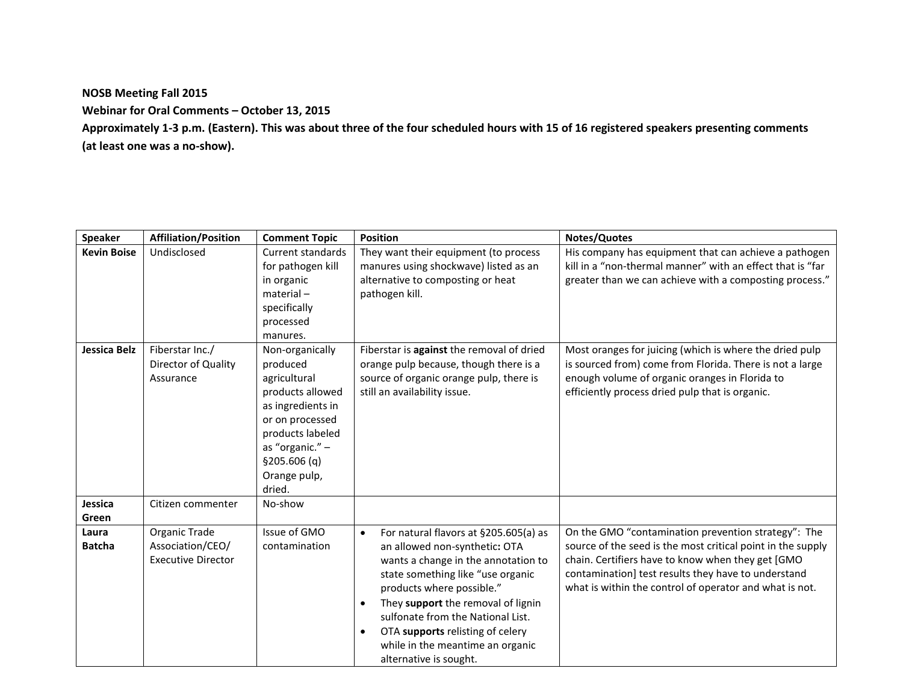**NOSB Meeting Fall 2015**

**Webinar for Oral Comments – October 13, 2015**

**Approximately 1-3 p.m. (Eastern). This was about three of the four scheduled hours with 15 of 16 registered speakers presenting comments (at least one was a no-show).**

| <b>Speaker</b>         | <b>Affiliation/Position</b>                                    | <b>Comment Topic</b>                                                                                                                                                                     | <b>Position</b>                                                                                                                                                                                                                                                                                                                                                           | Notes/Quotes                                                                                                                                                                                                                                                                              |
|------------------------|----------------------------------------------------------------|------------------------------------------------------------------------------------------------------------------------------------------------------------------------------------------|---------------------------------------------------------------------------------------------------------------------------------------------------------------------------------------------------------------------------------------------------------------------------------------------------------------------------------------------------------------------------|-------------------------------------------------------------------------------------------------------------------------------------------------------------------------------------------------------------------------------------------------------------------------------------------|
| <b>Kevin Boise</b>     | Undisclosed                                                    | <b>Current standards</b><br>for pathogen kill<br>in organic<br>$material -$<br>specifically<br>processed<br>manures.                                                                     | They want their equipment (to process<br>manures using shockwave) listed as an<br>alternative to composting or heat<br>pathogen kill.                                                                                                                                                                                                                                     | His company has equipment that can achieve a pathogen<br>kill in a "non-thermal manner" with an effect that is "far<br>greater than we can achieve with a composting process."                                                                                                            |
| Jessica Belz           | Fiberstar Inc./<br>Director of Quality<br>Assurance            | Non-organically<br>produced<br>agricultural<br>products allowed<br>as ingredients in<br>or on processed<br>products labeled<br>as "organic." -<br>\$205.606(q)<br>Orange pulp,<br>dried. | Fiberstar is against the removal of dried<br>orange pulp because, though there is a<br>source of organic orange pulp, there is<br>still an availability issue.                                                                                                                                                                                                            | Most oranges for juicing (which is where the dried pulp<br>is sourced from) come from Florida. There is not a large<br>enough volume of organic oranges in Florida to<br>efficiently process dried pulp that is organic.                                                                  |
| Jessica<br>Green       | Citizen commenter                                              | No-show                                                                                                                                                                                  |                                                                                                                                                                                                                                                                                                                                                                           |                                                                                                                                                                                                                                                                                           |
| Laura<br><b>Batcha</b> | Organic Trade<br>Association/CEO/<br><b>Executive Director</b> | Issue of GMO<br>contamination                                                                                                                                                            | For natural flavors at §205.605(a) as<br>$\bullet$<br>an allowed non-synthetic: OTA<br>wants a change in the annotation to<br>state something like "use organic<br>products where possible."<br>They support the removal of lignin<br>sulfonate from the National List.<br>OTA supports relisting of celery<br>while in the meantime an organic<br>alternative is sought. | On the GMO "contamination prevention strategy": The<br>source of the seed is the most critical point in the supply<br>chain. Certifiers have to know when they get [GMO<br>contamination] test results they have to understand<br>what is within the control of operator and what is not. |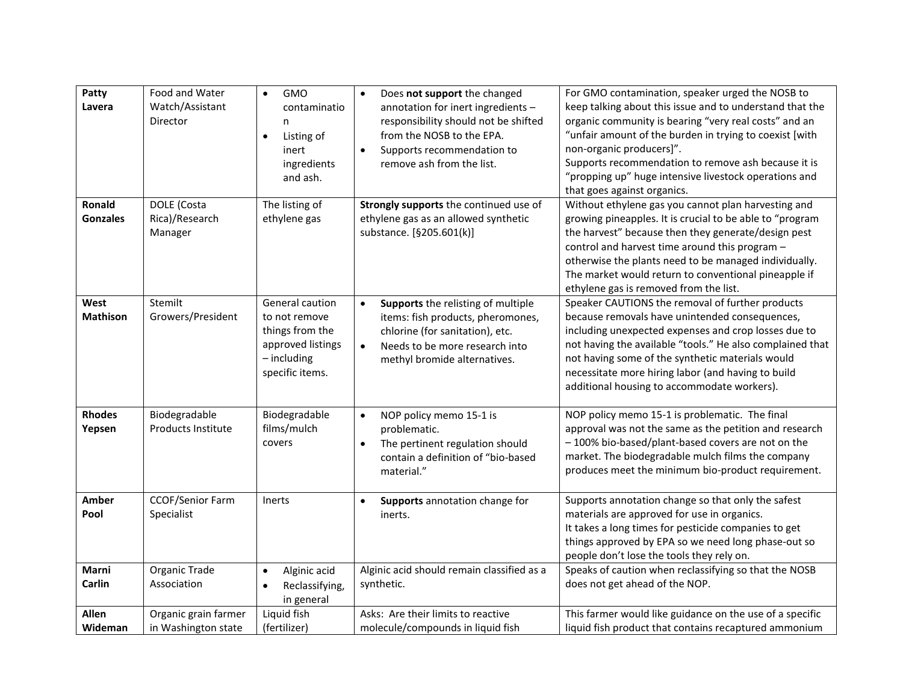| Patty<br>Lavera           | Food and Water<br>Watch/Assistant<br>Director | <b>GMO</b><br>$\bullet$<br>contaminatio<br>n.<br>Listing of<br>$\bullet$<br>inert<br>ingredients<br>and ash. | Does not support the changed<br>$\bullet$<br>annotation for inert ingredients -<br>responsibility should not be shifted<br>from the NOSB to the EPA.<br>Supports recommendation to<br>$\bullet$<br>remove ash from the list. | For GMO contamination, speaker urged the NOSB to<br>keep talking about this issue and to understand that the<br>organic community is bearing "very real costs" and an<br>"unfair amount of the burden in trying to coexist [with<br>non-organic producers]".<br>Supports recommendation to remove ash because it is<br>"propping up" huge intensive livestock operations and<br>that goes against organics. |
|---------------------------|-----------------------------------------------|--------------------------------------------------------------------------------------------------------------|------------------------------------------------------------------------------------------------------------------------------------------------------------------------------------------------------------------------------|-------------------------------------------------------------------------------------------------------------------------------------------------------------------------------------------------------------------------------------------------------------------------------------------------------------------------------------------------------------------------------------------------------------|
| Ronald<br><b>Gonzales</b> | DOLE (Costa<br>Rica)/Research<br>Manager      | The listing of<br>ethylene gas                                                                               | Strongly supports the continued use of<br>ethylene gas as an allowed synthetic<br>substance. [§205.601(k)]                                                                                                                   | Without ethylene gas you cannot plan harvesting and<br>growing pineapples. It is crucial to be able to "program<br>the harvest" because then they generate/design pest<br>control and harvest time around this program -<br>otherwise the plants need to be managed individually.<br>The market would return to conventional pineapple if<br>ethylene gas is removed from the list.                         |
| West<br><b>Mathison</b>   | Stemilt<br>Growers/President                  | General caution<br>to not remove<br>things from the<br>approved listings<br>$-$ including<br>specific items. | Supports the relisting of multiple<br>$\bullet$<br>items: fish products, pheromones,<br>chlorine (for sanitation), etc.<br>Needs to be more research into<br>$\bullet$<br>methyl bromide alternatives.                       | Speaker CAUTIONS the removal of further products<br>because removals have unintended consequences,<br>including unexpected expenses and crop losses due to<br>not having the available "tools." He also complained that<br>not having some of the synthetic materials would<br>necessitate more hiring labor (and having to build<br>additional housing to accommodate workers).                            |
| <b>Rhodes</b><br>Yepsen   | Biodegradable<br>Products Institute           | Biodegradable<br>films/mulch<br>covers                                                                       | NOP policy memo 15-1 is<br>$\bullet$<br>problematic.<br>The pertinent regulation should<br>$\bullet$<br>contain a definition of "bio-based<br>material."                                                                     | NOP policy memo 15-1 is problematic. The final<br>approval was not the same as the petition and research<br>-100% bio-based/plant-based covers are not on the<br>market. The biodegradable mulch films the company<br>produces meet the minimum bio-product requirement.                                                                                                                                    |
| Amber<br>Pool             | <b>CCOF/Senior Farm</b><br>Specialist         | Inerts                                                                                                       | Supports annotation change for<br>$\bullet$<br>inerts.                                                                                                                                                                       | Supports annotation change so that only the safest<br>materials are approved for use in organics.<br>It takes a long times for pesticide companies to get<br>things approved by EPA so we need long phase-out so<br>people don't lose the tools they rely on.                                                                                                                                               |
| Marni<br>Carlin           | Organic Trade<br>Association                  | Alginic acid<br>$\bullet$<br>Reclassifying,<br>$\bullet$<br>in general                                       | Alginic acid should remain classified as a<br>synthetic.                                                                                                                                                                     | Speaks of caution when reclassifying so that the NOSB<br>does not get ahead of the NOP.                                                                                                                                                                                                                                                                                                                     |
| Allen<br><b>Wideman</b>   | Organic grain farmer<br>in Washington state   | Liquid fish<br>(fertilizer)                                                                                  | Asks: Are their limits to reactive<br>molecule/compounds in liquid fish                                                                                                                                                      | This farmer would like guidance on the use of a specific<br>liquid fish product that contains recaptured ammonium                                                                                                                                                                                                                                                                                           |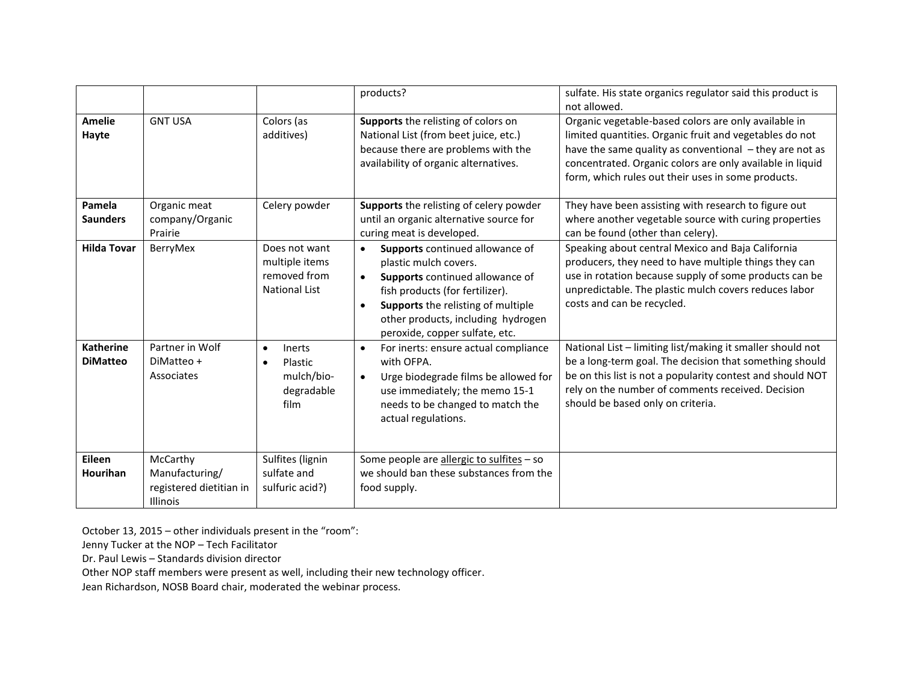|                                     |                                                                          |                                                                         | products?                                                                                                                                                                                                                                                                           | sulfate. His state organics regulator said this product is<br>not allowed.                                                                                                                                                                                                                    |
|-------------------------------------|--------------------------------------------------------------------------|-------------------------------------------------------------------------|-------------------------------------------------------------------------------------------------------------------------------------------------------------------------------------------------------------------------------------------------------------------------------------|-----------------------------------------------------------------------------------------------------------------------------------------------------------------------------------------------------------------------------------------------------------------------------------------------|
| <b>Amelie</b><br>Hayte              | <b>GNT USA</b>                                                           | Colors (as<br>additives)                                                | Supports the relisting of colors on<br>National List (from beet juice, etc.)<br>because there are problems with the<br>availability of organic alternatives.                                                                                                                        | Organic vegetable-based colors are only available in<br>limited quantities. Organic fruit and vegetables do not<br>have the same quality as conventional - they are not as<br>concentrated. Organic colors are only available in liquid<br>form, which rules out their uses in some products. |
| Pamela<br><b>Saunders</b>           | Organic meat<br>company/Organic<br>Prairie                               | Celery powder                                                           | Supports the relisting of celery powder<br>until an organic alternative source for<br>curing meat is developed.                                                                                                                                                                     | They have been assisting with research to figure out<br>where another vegetable source with curing properties<br>can be found (other than celery).                                                                                                                                            |
| <b>Hilda Tovar</b>                  | BerryMex                                                                 | Does not want<br>multiple items<br>removed from<br><b>National List</b> | Supports continued allowance of<br>$\bullet$<br>plastic mulch covers.<br>Supports continued allowance of<br>$\bullet$<br>fish products (for fertilizer).<br>Supports the relisting of multiple<br>$\bullet$<br>other products, including hydrogen<br>peroxide, copper sulfate, etc. | Speaking about central Mexico and Baja California<br>producers, they need to have multiple things they can<br>use in rotation because supply of some products can be<br>unpredictable. The plastic mulch covers reduces labor<br>costs and can be recycled.                                   |
| <b>Katherine</b><br><b>DiMatteo</b> | Partner in Wolf<br>DiMatteo +<br>Associates                              | Inerts<br>$\bullet$<br>Plastic<br>mulch/bio-<br>degradable<br>film      | For inerts: ensure actual compliance<br>$\bullet$<br>with OFPA.<br>Urge biodegrade films be allowed for<br>$\bullet$<br>use immediately; the memo 15-1<br>needs to be changed to match the<br>actual regulations.                                                                   | National List - limiting list/making it smaller should not<br>be a long-term goal. The decision that something should<br>be on this list is not a popularity contest and should NOT<br>rely on the number of comments received. Decision<br>should be based only on criteria.                 |
| Eileen<br>Hourihan                  | McCarthy<br>Manufacturing/<br>registered dietitian in<br><b>Illinois</b> | Sulfites (lignin<br>sulfate and<br>sulfuric acid?)                      | Some people are allergic to sulfites - so<br>we should ban these substances from the<br>food supply.                                                                                                                                                                                |                                                                                                                                                                                                                                                                                               |

October 13, 2015 – other individuals present in the "room":

Jenny Tucker at the NOP – Tech Facilitator

Dr. Paul Lewis – Standards division director

Other NOP staff members were present as well, including their new technology officer.

Jean Richardson, NOSB Board chair, moderated the webinar process.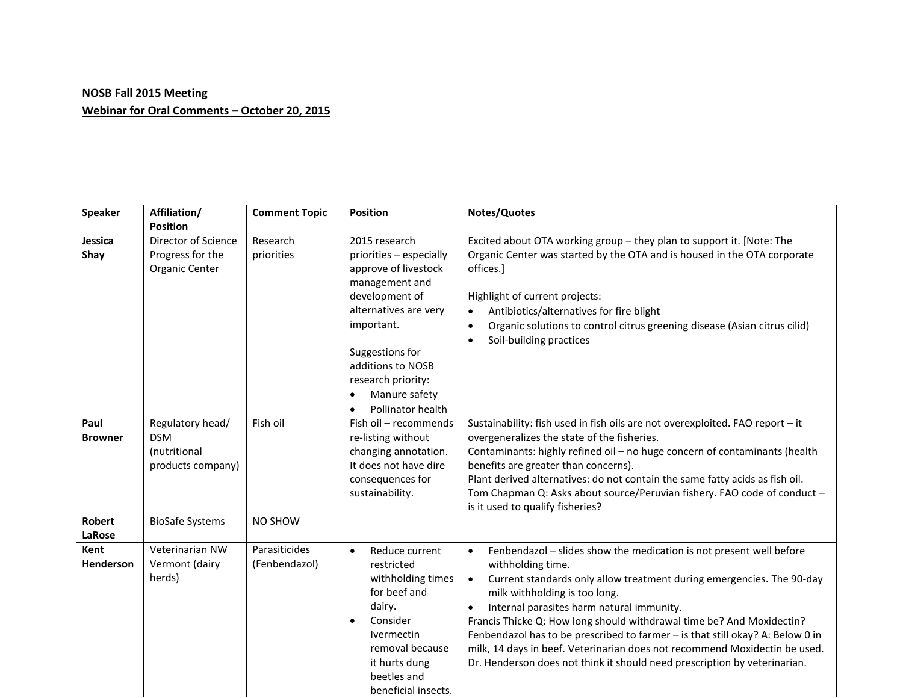## **NOSB Fall 2015 Meeting Webinar for Oral Comments – October 20, 2015**

| <b>Speaker</b>          | Affiliation/<br><b>Position</b>                                     | <b>Comment Topic</b>           | <b>Position</b>                                                                                                                                                                                           | Notes/Quotes                                                                                                                                                                                                                                                                                                                                                                                                                                                                                                                                                                                                 |
|-------------------------|---------------------------------------------------------------------|--------------------------------|-----------------------------------------------------------------------------------------------------------------------------------------------------------------------------------------------------------|--------------------------------------------------------------------------------------------------------------------------------------------------------------------------------------------------------------------------------------------------------------------------------------------------------------------------------------------------------------------------------------------------------------------------------------------------------------------------------------------------------------------------------------------------------------------------------------------------------------|
| Jessica<br>Shay         | Director of Science<br>Progress for the                             | Research<br>priorities         | 2015 research<br>priorities - especially                                                                                                                                                                  | Excited about OTA working group - they plan to support it. [Note: The<br>Organic Center was started by the OTA and is housed in the OTA corporate                                                                                                                                                                                                                                                                                                                                                                                                                                                            |
|                         | Organic Center                                                      |                                | approve of livestock<br>management and<br>development of<br>alternatives are very<br>important.<br>Suggestions for<br>additions to NOSB<br>research priority:<br>Manure safety<br>$\bullet$               | offices.]<br>Highlight of current projects:<br>Antibiotics/alternatives for fire blight<br>$\bullet$<br>Organic solutions to control citrus greening disease (Asian citrus cilid)<br>$\bullet$<br>Soil-building practices<br>$\bullet$                                                                                                                                                                                                                                                                                                                                                                       |
|                         |                                                                     |                                | Pollinator health<br>$\bullet$                                                                                                                                                                            |                                                                                                                                                                                                                                                                                                                                                                                                                                                                                                                                                                                                              |
| Paul<br><b>Browner</b>  | Regulatory head/<br><b>DSM</b><br>(nutritional<br>products company) | Fish oil                       | Fish oil - recommends<br>re-listing without<br>changing annotation.<br>It does not have dire<br>consequences for<br>sustainability.                                                                       | Sustainability: fish used in fish oils are not overexploited. FAO report - it<br>overgeneralizes the state of the fisheries.<br>Contaminants: highly refined oil - no huge concern of contaminants (health<br>benefits are greater than concerns).<br>Plant derived alternatives: do not contain the same fatty acids as fish oil.<br>Tom Chapman Q: Asks about source/Peruvian fishery. FAO code of conduct -<br>is it used to qualify fisheries?                                                                                                                                                           |
| <b>Robert</b><br>LaRose | <b>BioSafe Systems</b>                                              | NO SHOW                        |                                                                                                                                                                                                           |                                                                                                                                                                                                                                                                                                                                                                                                                                                                                                                                                                                                              |
| Kent<br>Henderson       | Veterinarian NW<br>Vermont (dairy<br>herds)                         | Parasiticides<br>(Fenbendazol) | Reduce current<br>$\bullet$<br>restricted<br>withholding times<br>for beef and<br>dairy.<br>Consider<br>$\bullet$<br>Ivermectin<br>removal because<br>it hurts dung<br>beetles and<br>beneficial insects. | Fenbendazol - slides show the medication is not present well before<br>$\bullet$<br>withholding time.<br>Current standards only allow treatment during emergencies. The 90-day<br>$\bullet$<br>milk withholding is too long.<br>Internal parasites harm natural immunity.<br>$\bullet$<br>Francis Thicke Q: How long should withdrawal time be? And Moxidectin?<br>Fenbendazol has to be prescribed to farmer - is that still okay? A: Below 0 in<br>milk, 14 days in beef. Veterinarian does not recommend Moxidectin be used.<br>Dr. Henderson does not think it should need prescription by veterinarian. |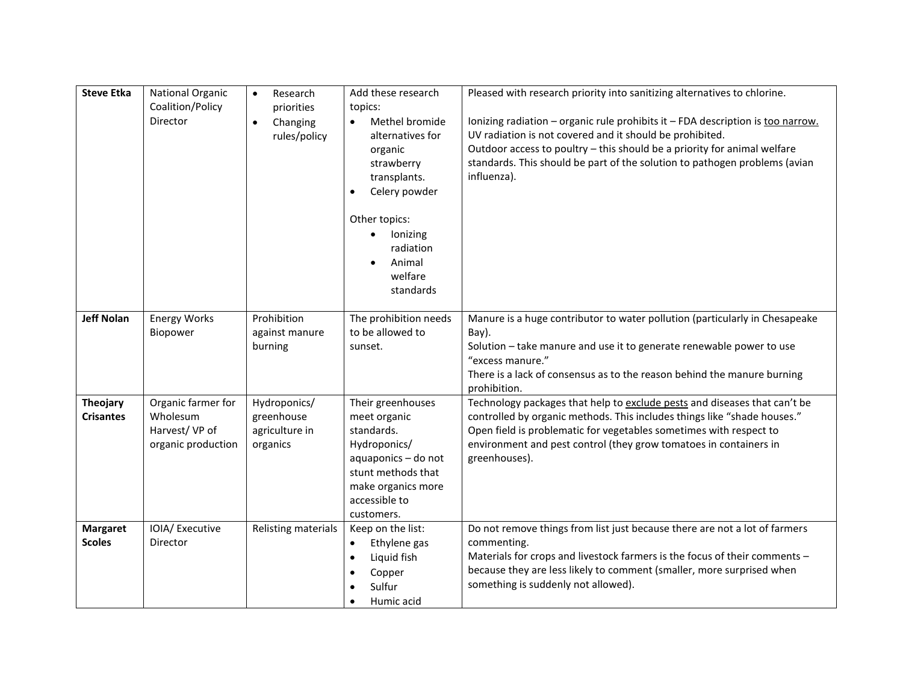| <b>Steve Etka</b>                | National Organic<br>Coalition/Policy<br>Director                      | $\bullet$<br>Research<br>priorities<br>Changing<br>$\bullet$<br>rules/policy | Add these research<br>topics:<br>Methel bromide<br>$\bullet$<br>alternatives for<br>organic<br>strawberry<br>transplants.<br>Celery powder<br>$\bullet$<br>Other topics:<br>lonizing<br>$\bullet$<br>radiation<br>Animal<br>$\bullet$<br>welfare<br>standards | Pleased with research priority into sanitizing alternatives to chlorine.<br>Ionizing radiation - organic rule prohibits it - FDA description is too narrow.<br>UV radiation is not covered and it should be prohibited.<br>Outdoor access to poultry - this should be a priority for animal welfare<br>standards. This should be part of the solution to pathogen problems (avian<br>influenza). |
|----------------------------------|-----------------------------------------------------------------------|------------------------------------------------------------------------------|---------------------------------------------------------------------------------------------------------------------------------------------------------------------------------------------------------------------------------------------------------------|--------------------------------------------------------------------------------------------------------------------------------------------------------------------------------------------------------------------------------------------------------------------------------------------------------------------------------------------------------------------------------------------------|
| <b>Jeff Nolan</b>                | <b>Energy Works</b><br>Biopower                                       | Prohibition<br>against manure<br>burning                                     | The prohibition needs<br>to be allowed to<br>sunset.                                                                                                                                                                                                          | Manure is a huge contributor to water pollution (particularly in Chesapeake<br>Bay).<br>Solution - take manure and use it to generate renewable power to use<br>"excess manure."<br>There is a lack of consensus as to the reason behind the manure burning<br>prohibition.                                                                                                                      |
| Theojary<br><b>Crisantes</b>     | Organic farmer for<br>Wholesum<br>Harvest/VP of<br>organic production | Hydroponics/<br>greenhouse<br>agriculture in<br>organics                     | Their greenhouses<br>meet organic<br>standards.<br>Hydroponics/<br>aquaponics - do not<br>stunt methods that<br>make organics more<br>accessible to<br>customers.                                                                                             | Technology packages that help to exclude pests and diseases that can't be<br>controlled by organic methods. This includes things like "shade houses."<br>Open field is problematic for vegetables sometimes with respect to<br>environment and pest control (they grow tomatoes in containers in<br>greenhouses).                                                                                |
| <b>Margaret</b><br><b>Scoles</b> | IOIA/ Executive<br>Director                                           | Relisting materials                                                          | Keep on the list:<br>Ethylene gas<br>$\bullet$<br>Liquid fish<br>$\bullet$<br>Copper<br>Sulfur<br>Humic acid                                                                                                                                                  | Do not remove things from list just because there are not a lot of farmers<br>commenting.<br>Materials for crops and livestock farmers is the focus of their comments -<br>because they are less likely to comment (smaller, more surprised when<br>something is suddenly not allowed).                                                                                                          |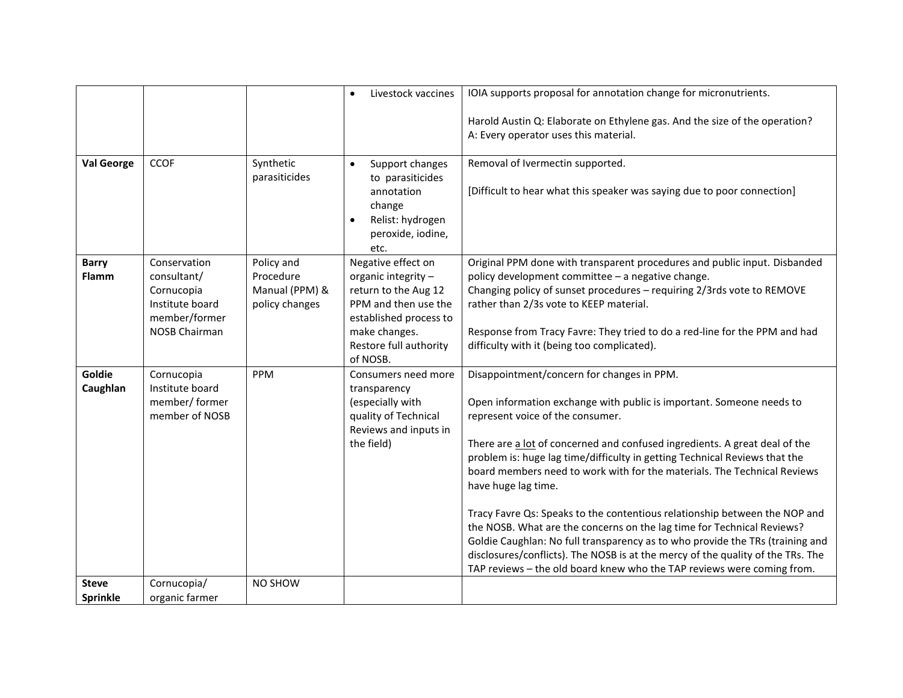|                                 |                                                                                                       |                                                             | Livestock vaccines<br>$\bullet$                                                                                                                                            | IOIA supports proposal for annotation change for micronutrients.                                                                                                                                                                                                                                                                                                                                                                                                                                                                                                                                                                                                                                                                                                                                                            |
|---------------------------------|-------------------------------------------------------------------------------------------------------|-------------------------------------------------------------|----------------------------------------------------------------------------------------------------------------------------------------------------------------------------|-----------------------------------------------------------------------------------------------------------------------------------------------------------------------------------------------------------------------------------------------------------------------------------------------------------------------------------------------------------------------------------------------------------------------------------------------------------------------------------------------------------------------------------------------------------------------------------------------------------------------------------------------------------------------------------------------------------------------------------------------------------------------------------------------------------------------------|
|                                 |                                                                                                       |                                                             |                                                                                                                                                                            | Harold Austin Q: Elaborate on Ethylene gas. And the size of the operation?<br>A: Every operator uses this material.                                                                                                                                                                                                                                                                                                                                                                                                                                                                                                                                                                                                                                                                                                         |
| <b>Val George</b>               | <b>CCOF</b>                                                                                           | Synthetic<br>parasiticides                                  | Support changes<br>$\bullet$<br>to parasiticides<br>annotation<br>change<br>Relist: hydrogen<br>$\bullet$<br>peroxide, iodine,<br>etc.                                     | Removal of Ivermectin supported.<br>[Difficult to hear what this speaker was saying due to poor connection]                                                                                                                                                                                                                                                                                                                                                                                                                                                                                                                                                                                                                                                                                                                 |
| <b>Barry</b><br><b>Flamm</b>    | Conservation<br>consultant/<br>Cornucopia<br>Institute board<br>member/former<br><b>NOSB Chairman</b> | Policy and<br>Procedure<br>Manual (PPM) &<br>policy changes | Negative effect on<br>organic integrity -<br>return to the Aug 12<br>PPM and then use the<br>established process to<br>make changes.<br>Restore full authority<br>of NOSB. | Original PPM done with transparent procedures and public input. Disbanded<br>policy development committee - a negative change.<br>Changing policy of sunset procedures - requiring 2/3rds vote to REMOVE<br>rather than 2/3s vote to KEEP material.<br>Response from Tracy Favre: They tried to do a red-line for the PPM and had<br>difficulty with it (being too complicated).                                                                                                                                                                                                                                                                                                                                                                                                                                            |
| Goldie<br>Caughlan              | Cornucopia<br>Institute board<br>member/ former<br>member of NOSB                                     | PPM                                                         | Consumers need more<br>transparency<br>(especially with<br>quality of Technical<br>Reviews and inputs in<br>the field)                                                     | Disappointment/concern for changes in PPM.<br>Open information exchange with public is important. Someone needs to<br>represent voice of the consumer.<br>There are a lot of concerned and confused ingredients. A great deal of the<br>problem is: huge lag time/difficulty in getting Technical Reviews that the<br>board members need to work with for the materials. The Technical Reviews<br>have huge lag time.<br>Tracy Favre Qs: Speaks to the contentious relationship between the NOP and<br>the NOSB. What are the concerns on the lag time for Technical Reviews?<br>Goldie Caughlan: No full transparency as to who provide the TRs (training and<br>disclosures/conflicts). The NOSB is at the mercy of the quality of the TRs. The<br>TAP reviews - the old board knew who the TAP reviews were coming from. |
| <b>Steve</b><br><b>Sprinkle</b> | Cornucopia/<br>organic farmer                                                                         | NO SHOW                                                     |                                                                                                                                                                            |                                                                                                                                                                                                                                                                                                                                                                                                                                                                                                                                                                                                                                                                                                                                                                                                                             |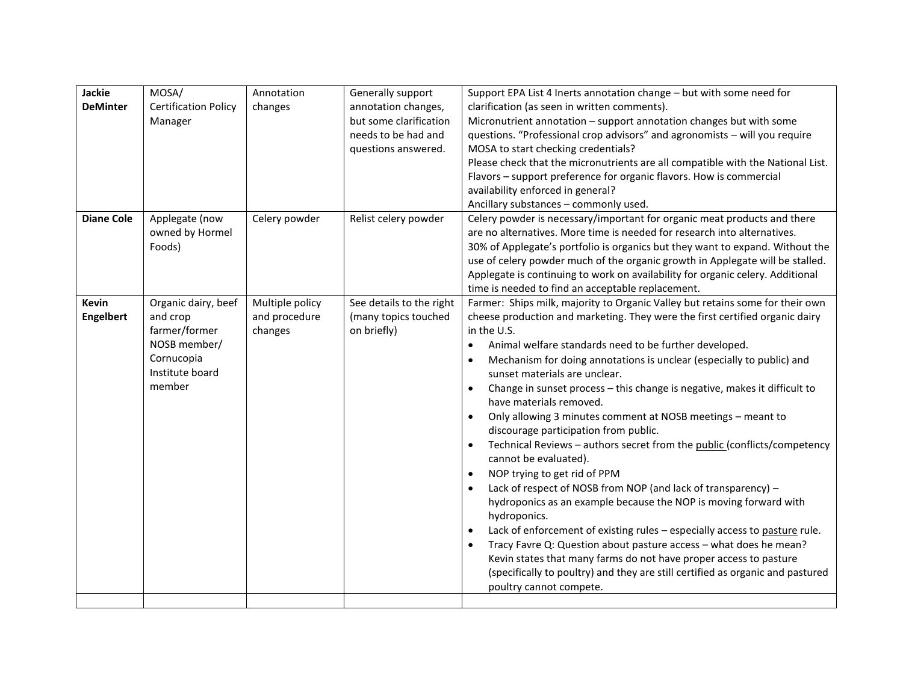| Jackie<br><b>DeMinter</b>        | MOSA/<br><b>Certification Policy</b><br>Manager                                                             | Annotation<br>changes                       | Generally support<br>annotation changes,<br>but some clarification<br>needs to be had and<br>questions answered. | Support EPA List 4 Inerts annotation change - but with some need for<br>clarification (as seen in written comments).<br>Micronutrient annotation - support annotation changes but with some<br>questions. "Professional crop advisors" and agronomists - will you require<br>MOSA to start checking credentials?<br>Please check that the micronutrients are all compatible with the National List.<br>Flavors - support preference for organic flavors. How is commercial<br>availability enforced in general?<br>Ancillary substances - commonly used.                                                                                                                                                                                                                                                                                                                                                                                                                                                                                                                                                                                                                                                                                                                      |
|----------------------------------|-------------------------------------------------------------------------------------------------------------|---------------------------------------------|------------------------------------------------------------------------------------------------------------------|-------------------------------------------------------------------------------------------------------------------------------------------------------------------------------------------------------------------------------------------------------------------------------------------------------------------------------------------------------------------------------------------------------------------------------------------------------------------------------------------------------------------------------------------------------------------------------------------------------------------------------------------------------------------------------------------------------------------------------------------------------------------------------------------------------------------------------------------------------------------------------------------------------------------------------------------------------------------------------------------------------------------------------------------------------------------------------------------------------------------------------------------------------------------------------------------------------------------------------------------------------------------------------|
| <b>Diane Cole</b>                | Applegate (now<br>owned by Hormel<br>Foods)                                                                 | Celery powder                               | Relist celery powder                                                                                             | Celery powder is necessary/important for organic meat products and there<br>are no alternatives. More time is needed for research into alternatives.<br>30% of Applegate's portfolio is organics but they want to expand. Without the<br>use of celery powder much of the organic growth in Applegate will be stalled.<br>Applegate is continuing to work on availability for organic celery. Additional<br>time is needed to find an acceptable replacement.                                                                                                                                                                                                                                                                                                                                                                                                                                                                                                                                                                                                                                                                                                                                                                                                                 |
| <b>Kevin</b><br><b>Engelbert</b> | Organic dairy, beef<br>and crop<br>farmer/former<br>NOSB member/<br>Cornucopia<br>Institute board<br>member | Multiple policy<br>and procedure<br>changes | See details to the right<br>(many topics touched<br>on briefly)                                                  | Farmer: Ships milk, majority to Organic Valley but retains some for their own<br>cheese production and marketing. They were the first certified organic dairy<br>in the U.S.<br>Animal welfare standards need to be further developed.<br>$\bullet$<br>Mechanism for doing annotations is unclear (especially to public) and<br>$\bullet$<br>sunset materials are unclear.<br>Change in sunset process - this change is negative, makes it difficult to<br>$\bullet$<br>have materials removed.<br>Only allowing 3 minutes comment at NOSB meetings - meant to<br>discourage participation from public.<br>Technical Reviews - authors secret from the public (conflicts/competency<br>cannot be evaluated).<br>NOP trying to get rid of PPM<br>$\bullet$<br>Lack of respect of NOSB from NOP (and lack of transparency) -<br>hydroponics as an example because the NOP is moving forward with<br>hydroponics.<br>Lack of enforcement of existing rules - especially access to pasture rule.<br>$\bullet$<br>Tracy Favre Q: Question about pasture access - what does he mean?<br>$\bullet$<br>Kevin states that many farms do not have proper access to pasture<br>(specifically to poultry) and they are still certified as organic and pastured<br>poultry cannot compete. |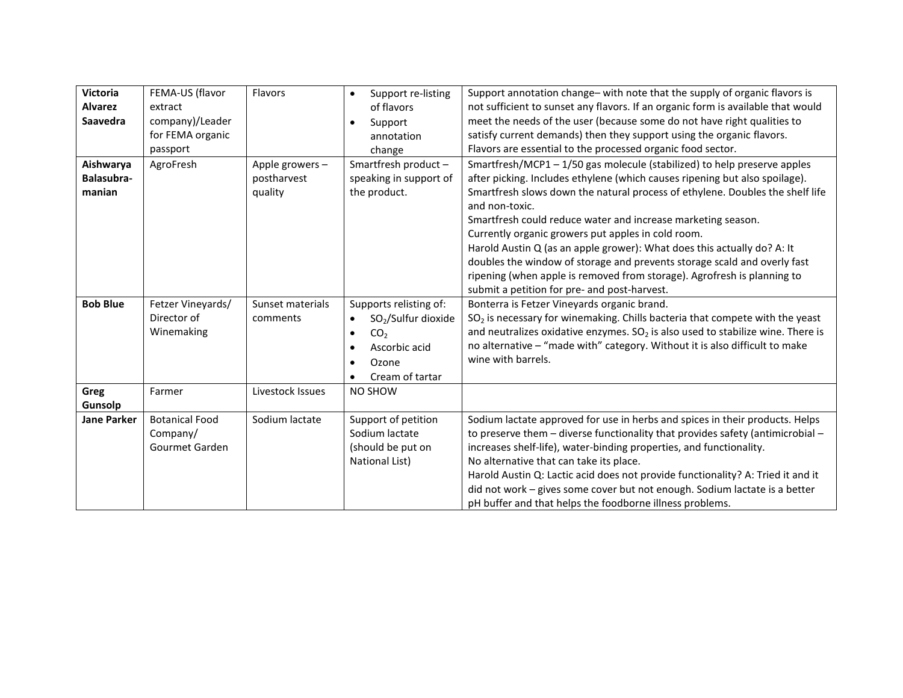| <b>Victoria</b><br><b>Alvarez</b> | FEMA-US (flavor<br>extract | Flavors          | Support re-listing<br>$\bullet$<br>of flavors | Support annotation change- with note that the supply of organic flavors is<br>not sufficient to sunset any flavors. If an organic form is available that would |
|-----------------------------------|----------------------------|------------------|-----------------------------------------------|----------------------------------------------------------------------------------------------------------------------------------------------------------------|
| <b>Saavedra</b>                   | company)/Leader            |                  | Support                                       | meet the needs of the user (because some do not have right qualities to                                                                                        |
|                                   | for FEMA organic           |                  | annotation                                    | satisfy current demands) then they support using the organic flavors.                                                                                          |
|                                   | passport                   |                  | change                                        | Flavors are essential to the processed organic food sector.                                                                                                    |
| Aishwarya                         | AgroFresh                  | Apple growers-   | Smartfresh product-                           | Smartfresh/MCP1-1/50 gas molecule (stabilized) to help preserve apples                                                                                         |
| Balasubra-                        |                            | postharvest      | speaking in support of                        | after picking. Includes ethylene (which causes ripening but also spoilage).                                                                                    |
| manian                            |                            | quality          | the product.                                  | Smartfresh slows down the natural process of ethylene. Doubles the shelf life                                                                                  |
|                                   |                            |                  |                                               | and non-toxic.                                                                                                                                                 |
|                                   |                            |                  |                                               | Smartfresh could reduce water and increase marketing season.                                                                                                   |
|                                   |                            |                  |                                               | Currently organic growers put apples in cold room.                                                                                                             |
|                                   |                            |                  |                                               | Harold Austin Q (as an apple grower): What does this actually do? A: It                                                                                        |
|                                   |                            |                  |                                               | doubles the window of storage and prevents storage scald and overly fast                                                                                       |
|                                   |                            |                  |                                               | ripening (when apple is removed from storage). Agrofresh is planning to                                                                                        |
|                                   |                            |                  |                                               | submit a petition for pre- and post-harvest.                                                                                                                   |
| <b>Bob Blue</b>                   | Fetzer Vineyards/          | Sunset materials | Supports relisting of:                        | Bonterra is Fetzer Vineyards organic brand.                                                                                                                    |
|                                   | Director of                | comments         | $SO2/Sulfur$ dioxide                          | SO <sub>2</sub> is necessary for winemaking. Chills bacteria that compete with the yeast                                                                       |
|                                   | Winemaking                 |                  | CO <sub>2</sub><br>$\bullet$                  | and neutralizes oxidative enzymes. $SO2$ is also used to stabilize wine. There is                                                                              |
|                                   |                            |                  | Ascorbic acid                                 | no alternative - "made with" category. Without it is also difficult to make                                                                                    |
|                                   |                            |                  | Ozone                                         | wine with barrels.                                                                                                                                             |
|                                   |                            |                  | Cream of tartar                               |                                                                                                                                                                |
| Greg                              | Farmer                     | Livestock Issues | NO SHOW                                       |                                                                                                                                                                |
| Gunsolp                           |                            |                  |                                               |                                                                                                                                                                |
| <b>Jane Parker</b>                | <b>Botanical Food</b>      | Sodium lactate   | Support of petition                           | Sodium lactate approved for use in herbs and spices in their products. Helps                                                                                   |
|                                   | Company/                   |                  | Sodium lactate                                | to preserve them $-$ diverse functionality that provides safety (antimicrobial $-$                                                                             |
|                                   | Gourmet Garden             |                  | (should be put on                             | increases shelf-life), water-binding properties, and functionality.                                                                                            |
|                                   |                            |                  | National List)                                | No alternative that can take its place.                                                                                                                        |
|                                   |                            |                  |                                               | Harold Austin Q: Lactic acid does not provide functionality? A: Tried it and it                                                                                |
|                                   |                            |                  |                                               | did not work - gives some cover but not enough. Sodium lactate is a better                                                                                     |
|                                   |                            |                  |                                               | pH buffer and that helps the foodborne illness problems.                                                                                                       |